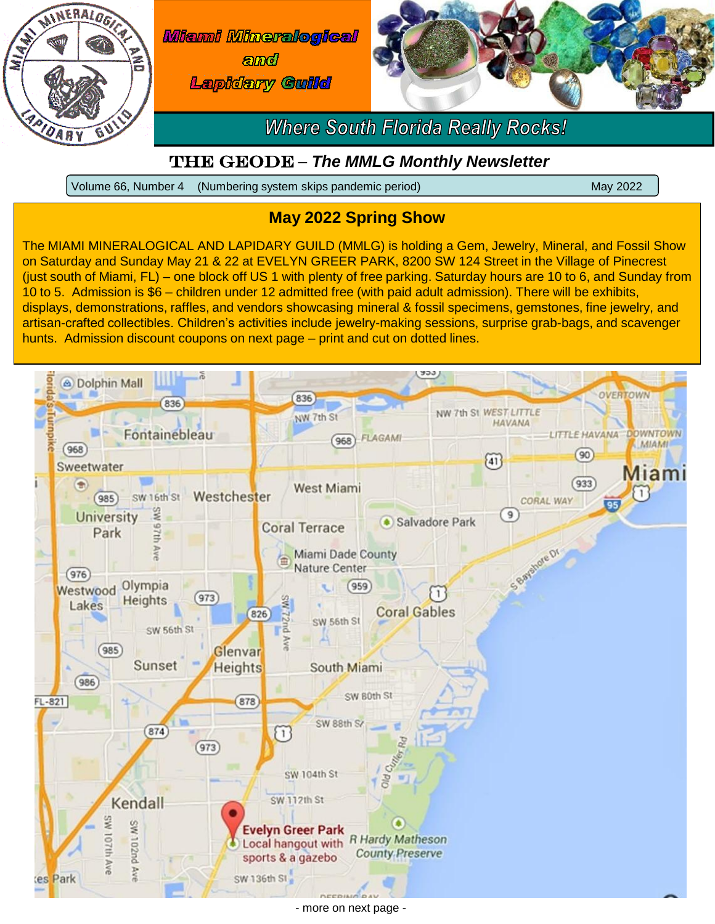



- more on next page -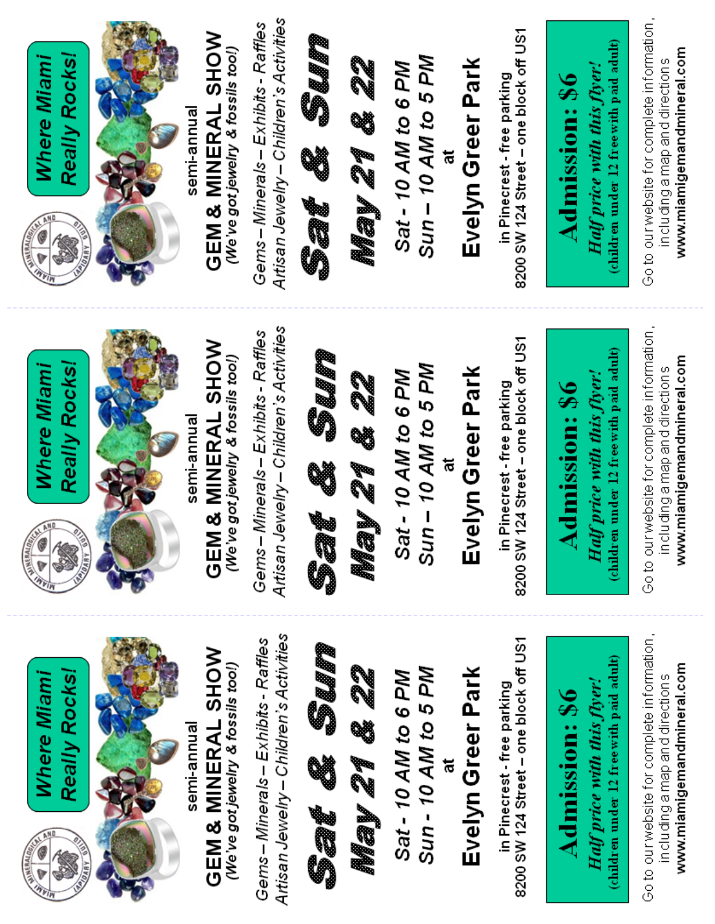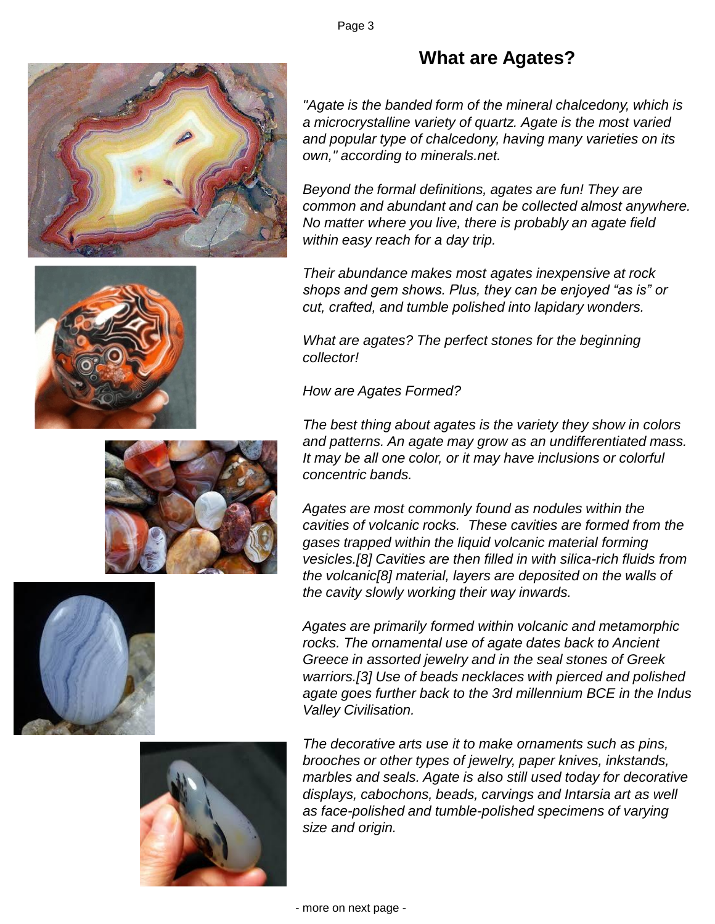

## **What are Agates?**

*"Agate is the banded form of the mineral chalcedony, which is a microcrystalline variety of quartz. Agate is the most varied and popular type of chalcedony, having many varieties on its own," according to minerals.net.*

*Beyond the formal definitions, agates are fun! They are common and abundant and can be collected almost anywhere. No matter where you live, there is probably an agate field within easy reach for a day trip.*

*Their abundance makes most agates inexpensive at rock shops and gem shows. Plus, they can be enjoyed "as is" or cut, crafted, and tumble polished into lapidary wonders.*

*What are agates? The perfect stones for the beginning collector!*

*How are Agates Formed?*

*The best thing about agates is the variety they show in colors and patterns. An agate may grow as an undifferentiated mass. It may be all one color, or it may have inclusions or colorful concentric bands.*

*Agates are most commonly found as nodules within the cavities of volcanic rocks. These cavities are formed from the gases trapped within the liquid volcanic material forming vesicles.[8] Cavities are then filled in with silica-rich fluids from the volcanic[8] material, layers are deposited on the walls of the cavity slowly working their way inwards.*

*Agates are primarily formed within volcanic and metamorphic rocks. The ornamental use of agate dates back to Ancient Greece in assorted jewelry and in the seal stones of Greek warriors.[3] Use of beads necklaces with pierced and polished agate goes further back to the 3rd millennium BCE in the Indus Valley Civilisation.*

*The decorative arts use it to make ornaments such as pins, brooches or other types of jewelry, paper knives, inkstands, marbles and seals. Agate is also still used today for decorative displays, cabochons, beads, carvings and Intarsia art as well as face-polished and tumble-polished specimens of varying size and origin.*